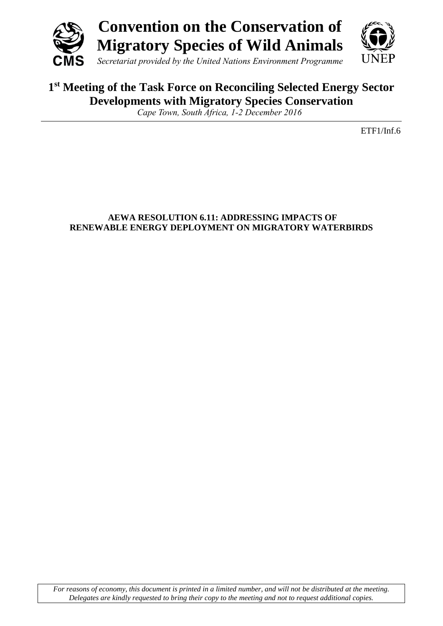

# **1 st Meeting of the Task Force on Reconciling Selected Energy Sector Developments with Migratory Species Conservation**

*Cape Town, South Africa, 1-2 December 2016*

ETF1/Inf.6

# **AEWA RESOLUTION 6.11: ADDRESSING IMPACTS OF RENEWABLE ENERGY DEPLOYMENT ON MIGRATORY WATERBIRDS**

*For reasons of economy, this document is printed in a limited number, and will not be distributed at the meeting. Delegates are kindly requested to bring their copy to the meeting and not to request additional copies.*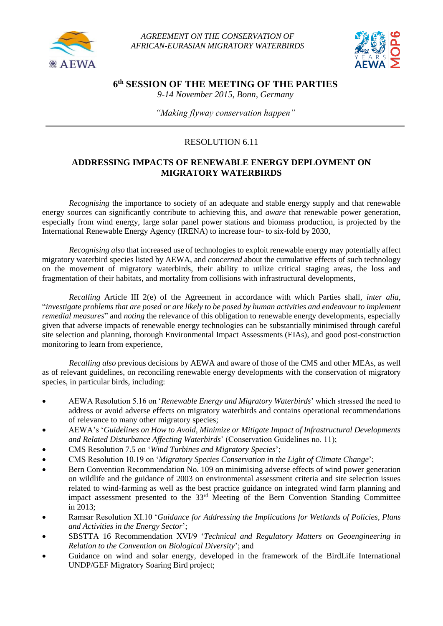

*AGREEMENT ON THE CONSERVATION OF AFRICAN-EURASIAN MIGRATORY WATERBIRDS*



**6 th SESSION OF THE MEETING OF THE PARTIES**

*9-14 November 2015, Bonn, Germany*

*"Making flyway conservation happen"*

# RESOLUTION 6.11

### **ADDRESSING IMPACTS OF RENEWABLE ENERGY DEPLOYMENT ON MIGRATORY WATERBIRDS**

*Recognising* the importance to society of an adequate and stable energy supply and that renewable energy sources can significantly contribute to achieving this, and *aware* that renewable power generation, especially from wind energy, large solar panel power stations and biomass production, is projected by the International Renewable Energy Agency (IRENA) to increase four- to six-fold by 2030,

*Recognising also* that increased use of technologies to exploit renewable energy may potentially affect migratory waterbird species listed by AEWA, and *concerned* about the cumulative effects of such technology on the movement of migratory waterbirds, their ability to utilize critical staging areas, the loss and fragmentation of their habitats, and mortality from collisions with infrastructural developments,

*Recalling* Article III 2(e) of the Agreement in accordance with which Parties shall, *inter alia*, "*investigate problems that are posed or are likely to be posed by human activities and endeavour to implement remedial measures*" and *noting* the relevance of this obligation to renewable energy developments, especially given that adverse impacts of renewable energy technologies can be substantially minimised through careful site selection and planning, thorough Environmental Impact Assessments (EIAs), and good post-construction monitoring to learn from experience,

*Recalling also* previous decisions by AEWA and aware of those of the CMS and other MEAs, as well as of relevant guidelines, on reconciling renewable energy developments with the conservation of migratory species, in particular birds, including:

- AEWA Resolution 5.16 on '*Renewable Energy and Migratory Waterbirds*' which stressed the need to address or avoid adverse effects on migratory waterbirds and contains operational recommendations of relevance to many other migratory species;
- AEWA's '*Guidelines on How to Avoid, Minimize or Mitigate Impact of Infrastructural Developments and Related Disturbance Affecting Waterbirds*' (Conservation Guidelines no. 11);
- CMS Resolution 7.5 on '*Wind Turbines and Migratory Species*';
- CMS Resolution 10.19 on '*Migratory Species Conservation in the Light of Climate Change*';
- Bern Convention Recommendation No. 109 on minimising adverse effects of wind power generation on wildlife and the guidance of 2003 on environmental assessment criteria and site selection issues related to wind-farming as well as the best practice guidance on integrated wind farm planning and impact assessment presented to the 33<sup>rd</sup> Meeting of the Bern Convention Standing Committee in 2013;
- Ramsar Resolution XI.10 '*Guidance for Addressing the Implications for Wetlands of Policies, Plans and Activities in the Energy Sector*';
- SBSTTA 16 Recommendation XVI/9 '*Technical and Regulatory Matters on Geoengineering in Relation to the Convention on Biological Diversity*'; and
- Guidance on wind and solar energy, developed in the framework of the BirdLife International UNDP/GEF Migratory Soaring Bird project;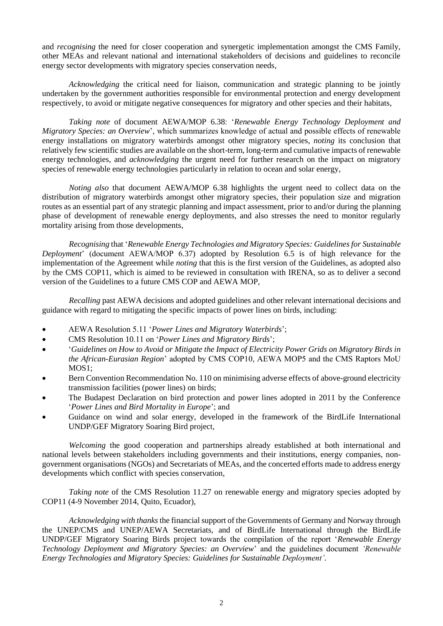and *recognising* the need for closer cooperation and synergetic implementation amongst the CMS Family, other MEAs and relevant national and international stakeholders of decisions and guidelines to reconcile energy sector developments with migratory species conservation needs,

*Acknowledging* the critical need for liaison, communication and strategic planning to be jointly undertaken by the government authorities responsible for environmental protection and energy development respectively, to avoid or mitigate negative consequences for migratory and other species and their habitats,

*Taking note* of document AEWA/MOP 6.38: '*Renewable Energy Technology Deployment and Migratory Species: an Overview*', which summarizes knowledge of actual and possible effects of renewable energy installations on migratory waterbirds amongst other migratory species, *noting* its conclusion that relatively few scientific studies are available on the short-term, long-term and cumulative impacts of renewable energy technologies, and *acknowledging* the urgent need for further research on the impact on migratory species of renewable energy technologies particularly in relation to ocean and solar energy,

*Noting also* that document AEWA/MOP 6.38 highlights the urgent need to collect data on the distribution of migratory waterbirds amongst other migratory species, their population size and migration routes as an essential part of any strategic planning and impact assessment, prior to and/or during the planning phase of development of renewable energy deployments, and also stresses the need to monitor regularly mortality arising from those developments,

*Recognising* that '*Renewable Energy Technologies and Migratory Species: Guidelines for Sustainable Deployment*' (document AEWA/MOP 6.37) adopted by Resolution 6.5 is of high relevance for the implementation of the Agreement while *noting* that this is the first version of the Guidelines, as adopted also by the CMS COP11, which is aimed to be reviewed in consultation with IRENA, so as to deliver a second version of the Guidelines to a future CMS COP and AEWA MOP,

*Recalling* past AEWA decisions and adopted guidelines and other relevant international decisions and guidance with regard to mitigating the specific impacts of power lines on birds, including:

- AEWA Resolution 5.11 '*Power Lines and Migratory Waterbirds*';
- CMS Resolution 10.11 on '*Power Lines and Migratory Birds*';
- '*Guidelines on How to Avoid or Mitigate the Impact of Electricity Power Grids on Migratory Birds in the African-Eurasian Region*' adopted by CMS COP10, AEWA MOP5 and the CMS Raptors MoU MOS1;
- Bern Convention Recommendation No. 110 on minimising adverse effects of above-ground electricity transmission facilities (power lines) on birds;
- The Budapest Declaration on bird protection and power lines adopted in 2011 by the Conference '*Power Lines and Bird Mortality in Europe*'; and
- Guidance on wind and solar energy, developed in the framework of the BirdLife International UNDP/GEF Migratory Soaring Bird project,

*Welcoming* the good cooperation and partnerships already established at both international and national levels between stakeholders including governments and their institutions, energy companies, nongovernment organisations (NGOs) and Secretariats of MEAs, and the concerted efforts made to address energy developments which conflict with species conservation,

*Taking note* of the CMS Resolution 11.27 on renewable energy and migratory species adopted by COP11 (4-9 November 2014, Quito, Ecuador),

*Acknowledging with thanks* the financial support of the Governments of Germany and Norway through the UNEP/CMS and UNEP/AEWA Secretariats, and of BirdLife International through the BirdLife UNDP/GEF Migratory Soaring Birds project towards the compilation of the report '*Renewable Energy Technology Deployment and Migratory Species: an Overview*' and the guidelines document *'Renewable Energy Technologies and Migratory Species: Guidelines for Sustainable Deployment'.*